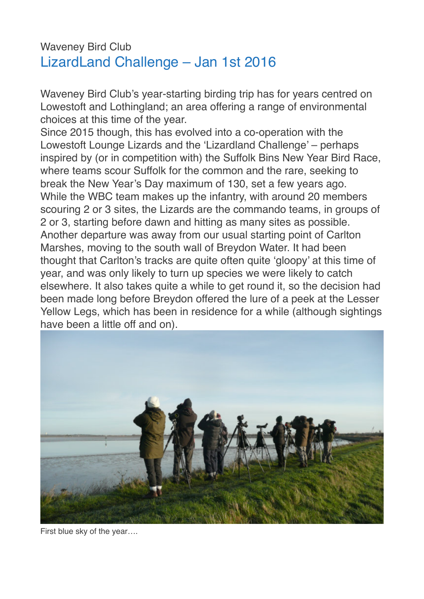## Waveney Bird Club LizardLand Challenge – Jan 1st 2016

Waveney Bird Club's year-starting birding trip has for years centred on Lowestoft and Lothingland; an area offering a range of environmental choices at this time of the year.

Since 2015 though, this has evolved into a co-operation with the Lowestoft Lounge Lizards and the 'Lizardland Challenge' – perhaps inspired by (or in competition with) the Suffolk Bins New Year Bird Race, where teams scour Suffolk for the common and the rare, seeking to break the New Year's Day maximum of 130, set a few years ago. While the WBC team makes up the infantry, with around 20 members scouring 2 or 3 sites, the Lizards are the commando teams, in groups of 2 or 3, starting before dawn and hitting as many sites as possible. Another departure was away from our usual starting point of Carlton Marshes, moving to the south wall of Breydon Water. It had been thought that Carlton's tracks are quite often quite 'gloopy' at this time of year, and was only likely to turn up species we were likely to catch elsewhere. It also takes quite a while to get round it, so the decision had been made long before Breydon offered the lure of a peek at the Lesser Yellow Legs, which has been in residence for a while (although sightings have been a little off and on).



First blue sky of the year….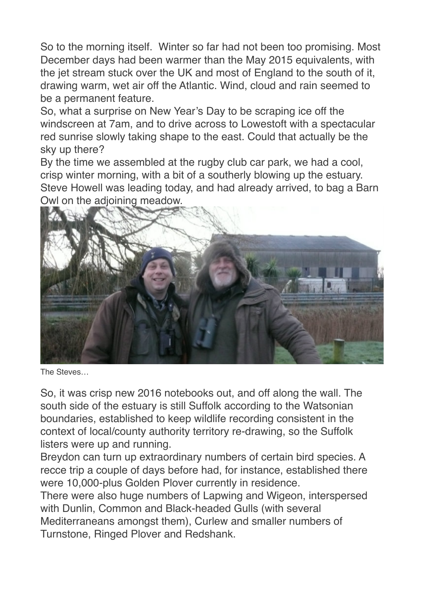So to the morning itself. Winter so far had not been too promising. Most December days had been warmer than the May 2015 equivalents, with the jet stream stuck over the UK and most of England to the south of it, drawing warm, wet air off the Atlantic. Wind, cloud and rain seemed to be a permanent feature.

So, what a surprise on New Year's Day to be scraping ice off the windscreen at 7am, and to drive across to Lowestoft with a spectacular red sunrise slowly taking shape to the east. Could that actually be the sky up there?

By the time we assembled at the rugby club car park, we had a cool, crisp winter morning, with a bit of a southerly blowing up the estuary. Steve Howell was leading today, and had already arrived, to bag a Barn Owl on the adjoining meadow.



The Steves…

So, it was crisp new 2016 notebooks out, and off along the wall. The south side of the estuary is still Suffolk according to the Watsonian boundaries, established to keep wildlife recording consistent in the context of local/county authority territory re-drawing, so the Suffolk listers were up and running.

Breydon can turn up extraordinary numbers of certain bird species. A recce trip a couple of days before had, for instance, established there were 10,000-plus Golden Plover currently in residence.

There were also huge numbers of Lapwing and Wigeon, interspersed with Dunlin, Common and Black-headed Gulls (with several Mediterraneans amongst them), Curlew and smaller numbers of Turnstone, Ringed Plover and Redshank.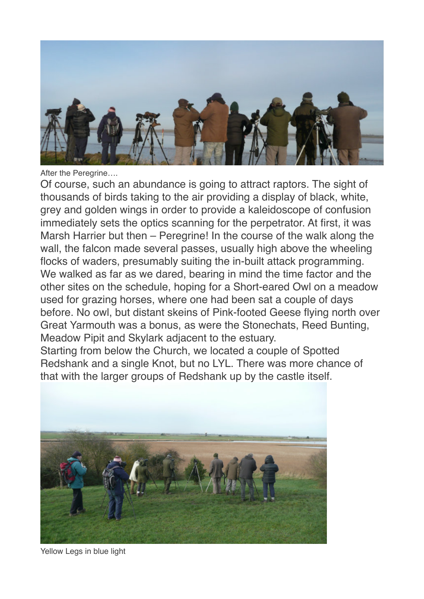

After the Peregrine….

Of course, such an abundance is going to attract raptors. The sight of thousands of birds taking to the air providing a display of black, white, grey and golden wings in order to provide a kaleidoscope of confusion immediately sets the optics scanning for the perpetrator. At first, it was Marsh Harrier but then – Peregrine! In the course of the walk along the wall, the falcon made several passes, usually high above the wheeling flocks of waders, presumably suiting the in-built attack programming. We walked as far as we dared, bearing in mind the time factor and the other sites on the schedule, hoping for a Short-eared Owl on a meadow used for grazing horses, where one had been sat a couple of days before. No owl, but distant skeins of Pink-footed Geese flying north over Great Yarmouth was a bonus, as were the Stonechats, Reed Bunting, Meadow Pipit and Skylark adjacent to the estuary.

Starting from below the Church, we located a couple of Spotted Redshank and a single Knot, but no LYL. There was more chance of that with the larger groups of Redshank up by the castle itself.



Yellow Legs in blue light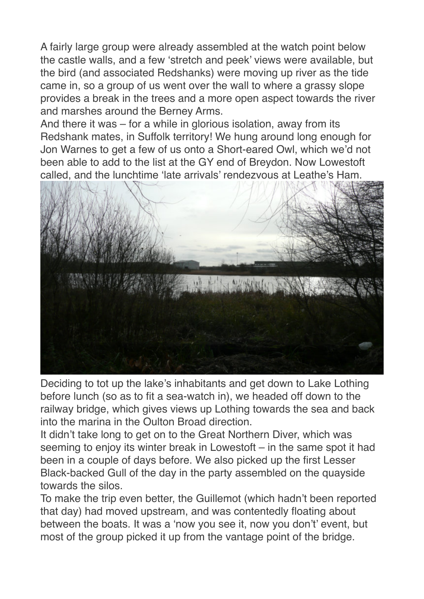A fairly large group were already assembled at the watch point below the castle walls, and a few 'stretch and peek' views were available, but the bird (and associated Redshanks) were moving up river as the tide came in, so a group of us went over the wall to where a grassy slope provides a break in the trees and a more open aspect towards the river and marshes around the Berney Arms.

And there it was – for a while in glorious isolation, away from its Redshank mates, in Suffolk territory! We hung around long enough for Jon Warnes to get a few of us onto a Short-eared Owl, which we'd not been able to add to the list at the GY end of Breydon. Now Lowestoft called, and the lunchtime 'late arrivals' rendezvous at Leathe's Ham.



Deciding to tot up the lake's inhabitants and get down to Lake Lothing before lunch (so as to fit a sea-watch in), we headed off down to the railway bridge, which gives views up Lothing towards the sea and back into the marina in the Oulton Broad direction.

It didn't take long to get on to the Great Northern Diver, which was seeming to enjoy its winter break in Lowestoft – in the same spot it had been in a couple of days before. We also picked up the first Lesser Black-backed Gull of the day in the party assembled on the quayside towards the silos.

To make the trip even better, the Guillemot (which hadn't been reported that day) had moved upstream, and was contentedly floating about between the boats. It was a 'now you see it, now you don't' event, but most of the group picked it up from the vantage point of the bridge.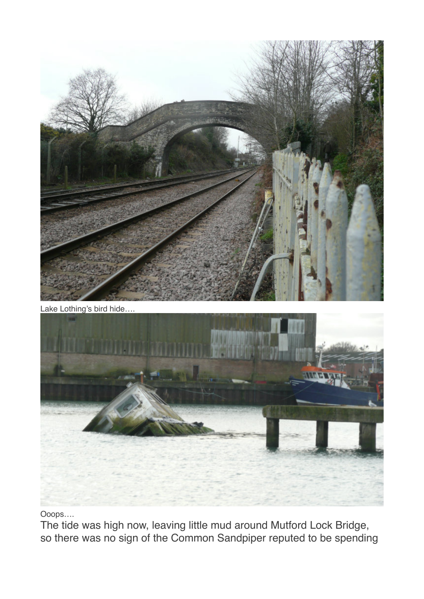



Ooops….

The tide was high now, leaving little mud around Mutford Lock Bridge, so there was no sign of the Common Sandpiper reputed to be spending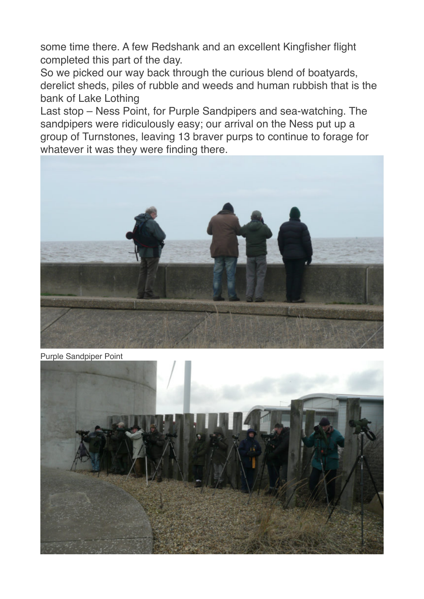some time there. A few Redshank and an excellent Kingfisher flight completed this part of the day.

So we picked our way back through the curious blend of boatyards, derelict sheds, piles of rubble and weeds and human rubbish that is the bank of Lake Lothing

Last stop – Ness Point, for Purple Sandpipers and sea-watching. The sandpipers were ridiculously easy; our arrival on the Ness put up a group of Turnstones, leaving 13 braver purps to continue to forage for whatever it was they were finding there.



Purple Sandpiper Point

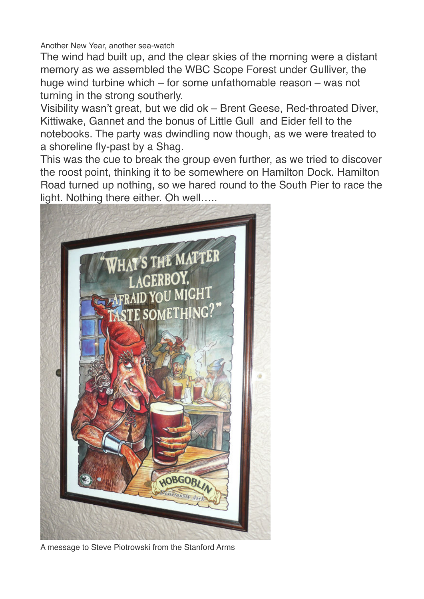Another New Year, another sea-watch

The wind had built up, and the clear skies of the morning were a distant memory as we assembled the WBC Scope Forest under Gulliver, the huge wind turbine which – for some unfathomable reason – was not turning in the strong southerly.

Visibility wasn't great, but we did ok – Brent Geese, Red-throated Diver, Kittiwake, Gannet and the bonus of Little Gull and Eider fell to the notebooks. The party was dwindling now though, as we were treated to a shoreline fly-past by a Shag.

This was the cue to break the group even further, as we tried to discover the roost point, thinking it to be somewhere on Hamilton Dock. Hamilton Road turned up nothing, so we hared round to the South Pier to race the light. Nothing there either. Oh well…..



A message to Steve Piotrowski from the Stanford Arms